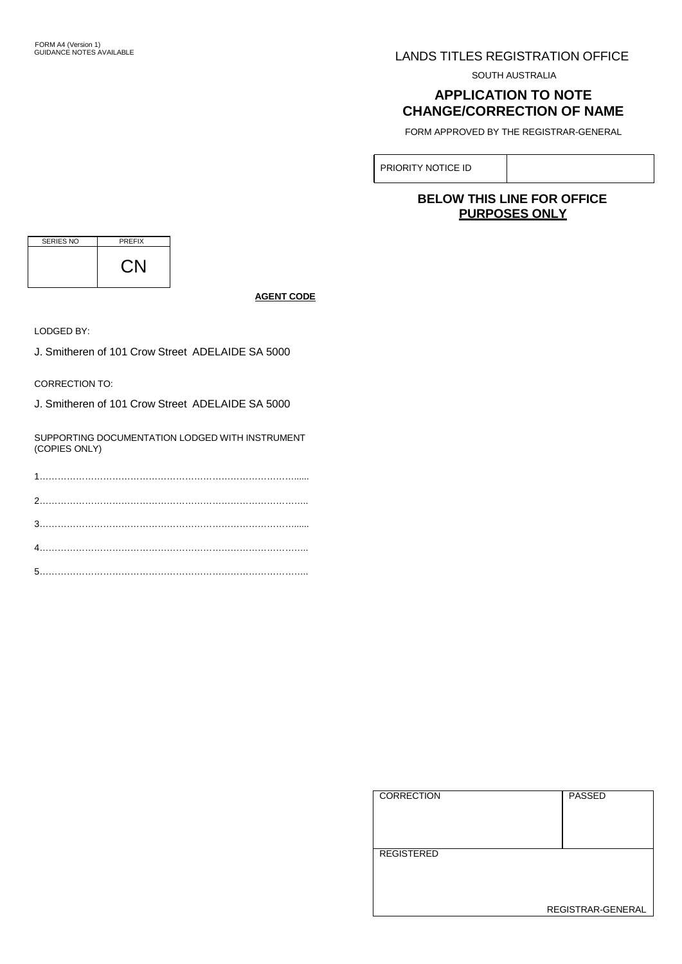# LANDS TITLES REGISTRATION OFFICE

SOUTH AUSTRALIA

# **APPLICATION TO NOTE CHANGE/CORRECTION OF NAME**

FORM APPROVED BY THE REGISTRAR-GENERAL

PRIORITY NOTICE ID

# **BELOW THIS LINE FOR OFFICE PURPOSES ONLY**

| <b>SERIES NO</b> | <b>PREFIX</b> |
|------------------|---------------|
|                  |               |

**AGENT CODE**

LODGED BY:

J. Smitheren of 101 Crow Street ADELAIDE SA 5000

CORRECTION TO:

J. Smitheren of 101 Crow Street ADELAIDE SA 5000

SUPPORTING DOCUMENTATION LODGED WITH INSTRUMENT (COPIES ONLY)

| l correction      | <b>PASSED</b>     |
|-------------------|-------------------|
| <b>REGISTERED</b> | REGISTRAR-GENERAL |
|                   |                   |